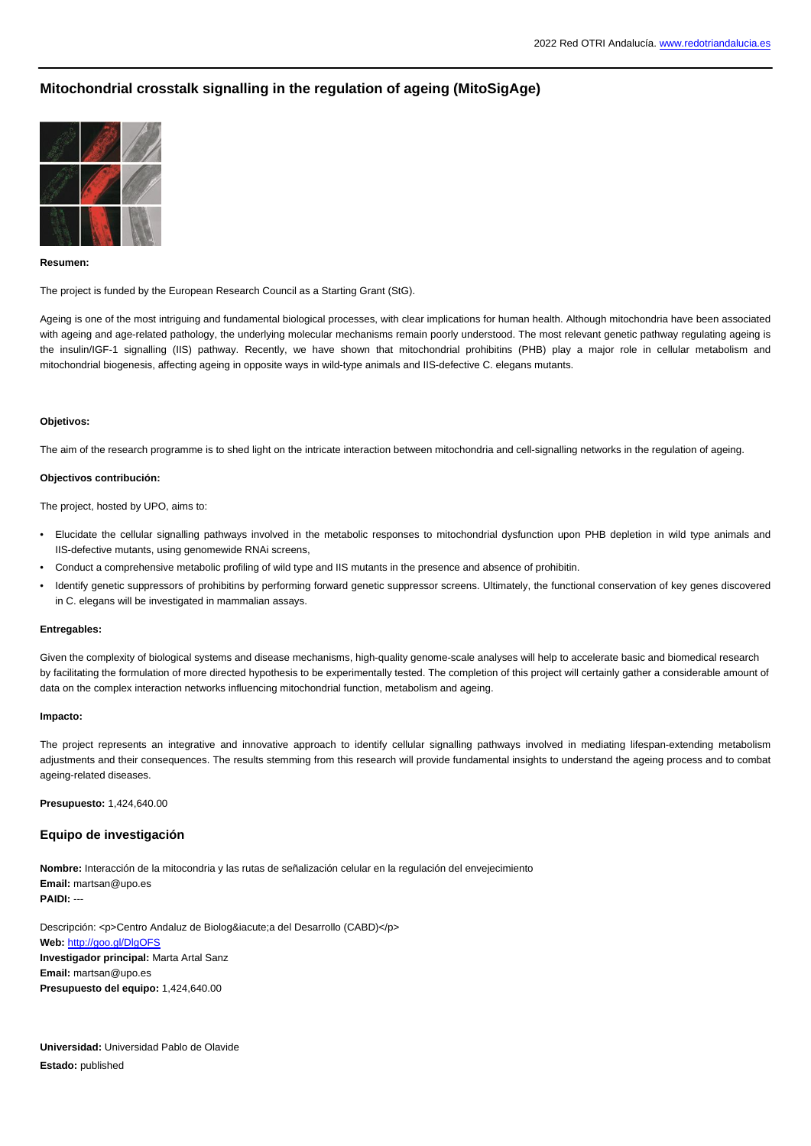# **Mitochondrial crosstalk signalling in the regulation of ageing (MitoSigAge)**



# **Resumen:**

The project is funded by the European Research Council as a Starting Grant (StG).

Ageing is one of the most intriguing and fundamental biological processes, with clear implications for human health. Although mitochondria have been associated with ageing and age-related pathology, the underlying molecular mechanisms remain poorly understood. The most relevant genetic pathway regulating ageing is the insulin/IGF-1 signalling (IIS) pathway. Recently, we have shown that mitochondrial prohibitins (PHB) play a major role in cellular metabolism and mitochondrial biogenesis, affecting ageing in opposite ways in wild-type animals and IIS-defective C. elegans mutants.

## **Objetivos:**

The aim of the research programme is to shed light on the intricate interaction between mitochondria and cell-signalling networks in the regulation of ageing.

# **Objectivos contribución:**

The project, hosted by UPO, aims to:

- Elucidate the cellular signalling pathways involved in the metabolic responses to mitochondrial dysfunction upon PHB depletion in wild type animals and IIS-defective mutants, using genomewide RNAi screens,
- Conduct a comprehensive metabolic profiling of wild type and IIS mutants in the presence and absence of prohibitin.
- Identify genetic suppressors of prohibitins by performing forward genetic suppressor screens. Ultimately, the functional conservation of key genes discovered in C. elegans will be investigated in mammalian assays.

#### **Entregables:**

Given the complexity of biological systems and disease mechanisms, high-quality genome-scale analyses will help to accelerate basic and biomedical research by facilitating the formulation of more directed hypothesis to be experimentally tested. The completion of this project will certainly gather a considerable amount of data on the complex interaction networks influencing mitochondrial function, metabolism and ageing.

## **Impacto:**

The project represents an integrative and innovative approach to identify cellular signalling pathways involved in mediating lifespan-extending metabolism adjustments and their consequences. The results stemming from this research will provide fundamental insights to understand the ageing process and to combat ageing-related diseases.

**Presupuesto:** 1,424,640.00

# **Equipo de investigación**

**Nombre:** Interacción de la mitocondria y las rutas de señalización celular en la regulación del envejecimiento **Email:** martsan@upo.es **PAIDI:** ---

Descripción: <p>Centro Andaluz de Biolog&iacute;a del Desarrollo (CABD)</p> **Web:** <http://goo.gl/DlgOFS> **Investigador principal:** Marta Artal Sanz **Email:** martsan@upo.es **Presupuesto del equipo:** 1,424,640.00

**Universidad:** Universidad Pablo de Olavide **Estado:** published